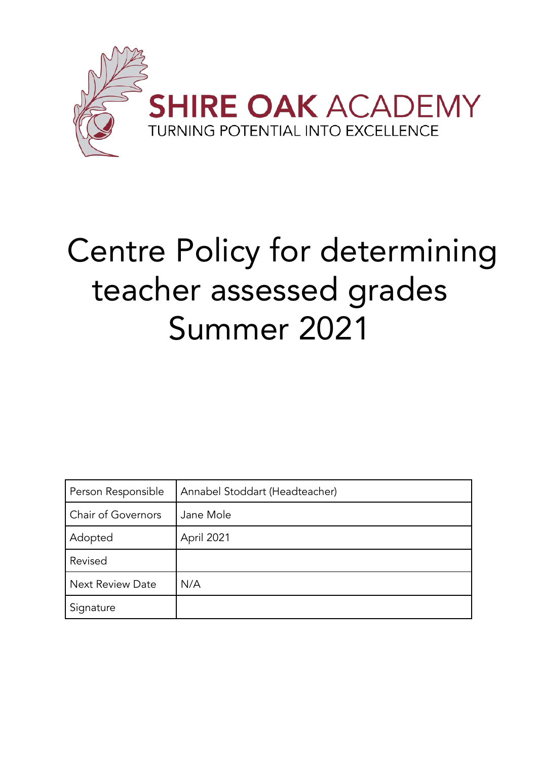

# Centre Policy for determining teacher assessed grades Summer 2021

| Person Responsible        | Annabel Stoddart (Headteacher) |
|---------------------------|--------------------------------|
| <b>Chair of Governors</b> | Jane Mole                      |
| Adopted                   | April 2021                     |
| Revised                   |                                |
| <b>Next Review Date</b>   | N/A                            |
| Signature                 |                                |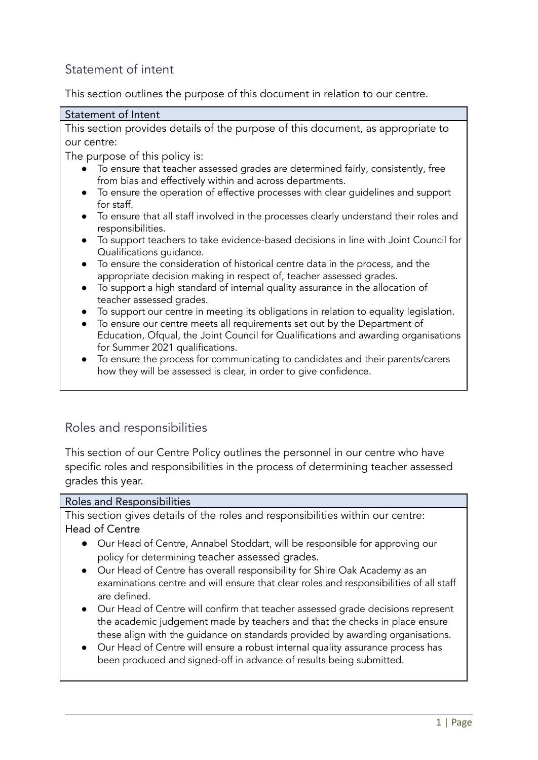# Statement of intent

This section outlines the purpose of this document in relation to our centre.

#### Statement of Intent

This section provides details of the purpose of this document, as appropriate to our centre:

The purpose of this policy is:

- To ensure that teacher assessed grades are determined fairly, consistently, free from bias and effectively within and across departments.
- To ensure the operation of effective processes with clear guidelines and support for staff.
- To ensure that all staff involved in the processes clearly understand their roles and responsibilities.
- To support teachers to take evidence-based decisions in line with Joint Council for Qualifications guidance.
- To ensure the consideration of historical centre data in the process, and the appropriate decision making in respect of, teacher assessed grades.
- To support a high standard of internal quality assurance in the allocation of teacher assessed grades.
- To support our centre in meeting its obligations in relation to equality legislation.
- To ensure our centre meets all requirements set out by the Department of Education, Ofqual, the Joint Council for Qualifications and awarding organisations for Summer 2021 qualifications.
- To ensure the process for communicating to candidates and their parents/carers how they will be assessed is clear, in order to give confidence.

# Roles and responsibilities

This section of our Centre Policy outlines the personnel in our centre who have specific roles and responsibilities in the process of determining teacher assessed grades this year.

## Roles and Responsibilities

This section gives details of the roles and responsibilities within our centre: Head of Centre

- Our Head of Centre, Annabel Stoddart, will be responsible for approving our policy for determining teacher assessed grades.
- Our Head of Centre has overall responsibility for Shire Oak Academy as an examinations centre and will ensure that clear roles and responsibilities of all staff are defined.
- Our Head of Centre will confirm that teacher assessed grade decisions represent the academic judgement made by teachers and that the checks in place ensure these align with the guidance on standards provided by awarding organisations.
- Our Head of Centre will ensure a robust internal quality assurance process has been produced and signed-off in advance of results being submitted.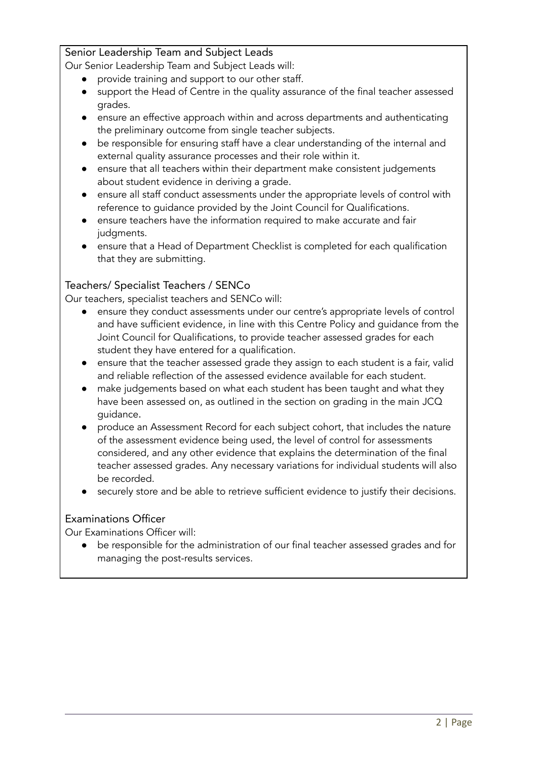## Senior Leadership Team and Subject Leads

Our Senior Leadership Team and Subject Leads will:

- provide training and support to our other staff.
- support the Head of Centre in the quality assurance of the final teacher assessed grades.
- ensure an effective approach within and across departments and authenticating the preliminary outcome from single teacher subjects.
- be responsible for ensuring staff have a clear understanding of the internal and external quality assurance processes and their role within it.
- ensure that all teachers within their department make consistent judgements about student evidence in deriving a grade.
- ensure all staff conduct assessments under the appropriate levels of control with reference to guidance provided by the Joint Council for Qualifications.
- ensure teachers have the information required to make accurate and fair judaments.
- ensure that a Head of Department Checklist is completed for each qualification that they are submitting.

## Teachers/ Specialist Teachers / SENCo

Our teachers, specialist teachers and SENCo will:

- ensure they conduct assessments under our centre's appropriate levels of control and have sufficient evidence, in line with this Centre Policy and guidance from the Joint Council for Qualifications, to provide teacher assessed grades for each student they have entered for a qualification.
- ensure that the teacher assessed grade they assign to each student is a fair, valid and reliable reflection of the assessed evidence available for each student.
- make judgements based on what each student has been taught and what they have been assessed on, as outlined in the section on grading in the main JCQ guidance.
- produce an Assessment Record for each subject cohort, that includes the nature of the assessment evidence being used, the level of control for assessments considered, and any other evidence that explains the determination of the final teacher assessed grades. Any necessary variations for individual students will also be recorded.
- securely store and be able to retrieve sufficient evidence to justify their decisions.

## Examinations Officer

Our Examinations Officer will:

● be responsible for the administration of our final teacher assessed grades and for managing the post-results services.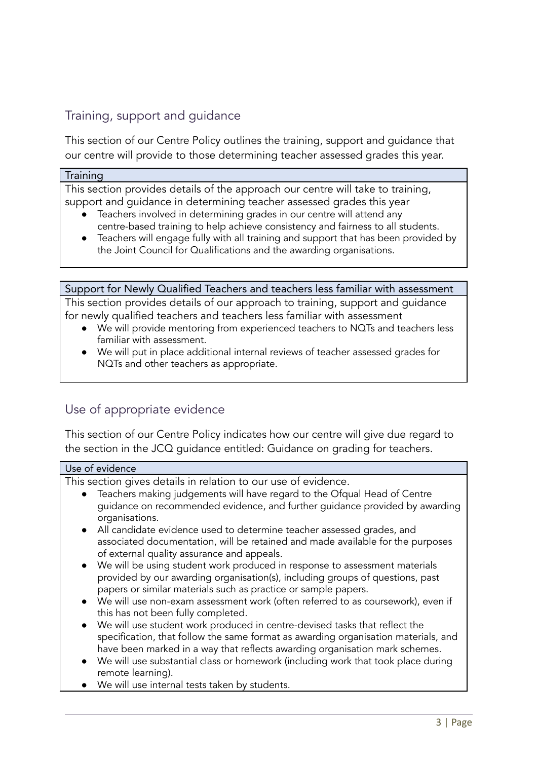# Training, support and guidance

This section of our Centre Policy outlines the training, support and guidance that our centre will provide to those determining teacher assessed grades this year.

#### **Training**

This section provides details of the approach our centre will take to training, support and guidance in determining teacher assessed grades this year

- Teachers involved in determining grades in our centre will attend any centre-based training to help achieve consistency and fairness to all students.
- Teachers will engage fully with all training and support that has been provided by the Joint Council for Qualifications and the awarding organisations.

Support for Newly Qualified Teachers and teachers less familiar with assessment

This section provides details of our approach to training, support and guidance for newly qualified teachers and teachers less familiar with assessment

- We will provide mentoring from experienced teachers to NQTs and teachers less familiar with assessment.
- We will put in place additional internal reviews of teacher assessed grades for NQTs and other teachers as appropriate.

# Use of appropriate evidence

This section of our Centre Policy indicates how our centre will give due regard to the section in the JCQ guidance entitled: Guidance on grading for teachers.

| Use of evidence                                                                                                                                                                                                                                   |  |  |
|---------------------------------------------------------------------------------------------------------------------------------------------------------------------------------------------------------------------------------------------------|--|--|
| This section gives details in relation to our use of evidence.                                                                                                                                                                                    |  |  |
| • Teachers making judgements will have regard to the Ofqual Head of Centre<br>guidance on recommended evidence, and further guidance provided by awarding<br>organisations.                                                                       |  |  |
| • All candidate evidence used to determine teacher assessed grades, and<br>associated documentation, will be retained and made available for the purposes<br>of external quality assurance and appeals.                                           |  |  |
| • We will be using student work produced in response to assessment materials<br>provided by our awarding organisation(s), including groups of questions, past<br>papers or similar materials such as practice or sample papers.                   |  |  |
| • We will use non-exam assessment work (often referred to as coursework), even if<br>this has not been fully completed.                                                                                                                           |  |  |
| • We will use student work produced in centre-devised tasks that reflect the<br>specification, that follow the same format as awarding organisation materials, and<br>have been marked in a way that reflects awarding organisation mark schemes. |  |  |
| • We will use substantial class or homework (including work that took place during<br>remote learning).                                                                                                                                           |  |  |
| We will use internal tests taken by students.                                                                                                                                                                                                     |  |  |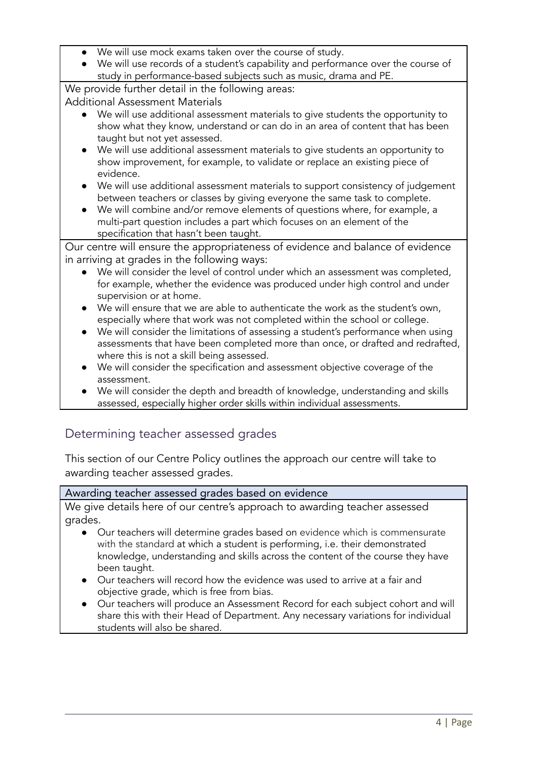- We will use mock exams taken over the course of study.
- We will use records of a student's capability and performance over the course of study in performance-based subjects such as music, drama and PE.

We provide further detail in the following areas:

Additional Assessment Materials

- We will use additional assessment materials to give students the opportunity to show what they know, understand or can do in an area of content that has been taught but not yet assessed.
- We will use additional assessment materials to give students an opportunity to show improvement, for example, to validate or replace an existing piece of evidence.
- We will use additional assessment materials to support consistency of judgement between teachers or classes by giving everyone the same task to complete.
- We will combine and/or remove elements of questions where, for example, a multi-part question includes a part which focuses on an element of the specification that hasn't been taught.

Our centre will ensure the appropriateness of evidence and balance of evidence in arriving at grades in the following ways:

- We will consider the level of control under which an assessment was completed, for example, whether the evidence was produced under high control and under supervision or at home.
- We will ensure that we are able to authenticate the work as the student's own, especially where that work was not completed within the school or college.
- We will consider the limitations of assessing a student's performance when using assessments that have been completed more than once, or drafted and redrafted, where this is not a skill being assessed.
- We will consider the specification and assessment objective coverage of the assessment.
- We will consider the depth and breadth of knowledge, understanding and skills assessed, especially higher order skills within individual assessments.

# Determining teacher assessed grades

This section of our Centre Policy outlines the approach our centre will take to awarding teacher assessed grades.

## Awarding teacher assessed grades based on evidence

We give details here of our centre's approach to awarding teacher assessed grades.

- Our teachers will determine grades based on evidence which is commensurate with the standard at which a student is performing, i.e. their demonstrated knowledge, understanding and skills across the content of the course they have been taught.
- Our teachers will record how the evidence was used to arrive at a fair and objective grade, which is free from bias.
- Our teachers will produce an Assessment Record for each subject cohort and will share this with their Head of Department. Any necessary variations for individual students will also be shared.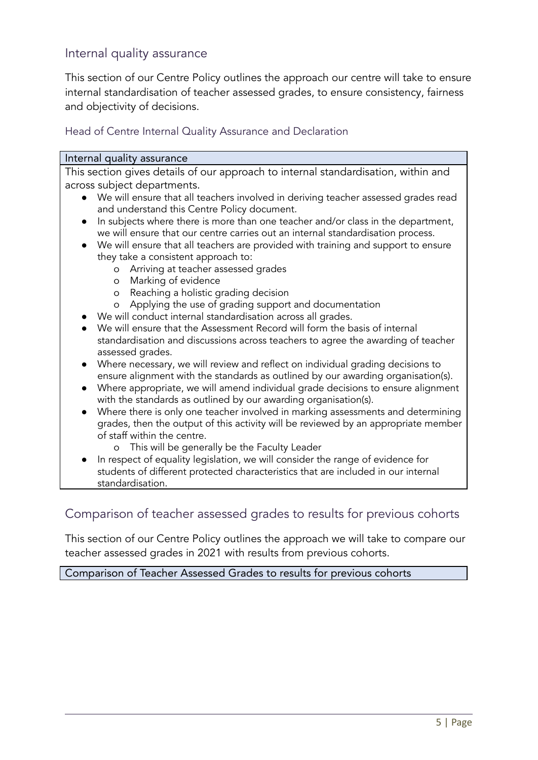## Internal quality assurance

This section of our Centre Policy outlines the approach our centre will take to ensure internal standardisation of teacher assessed grades, to ensure consistency, fairness and objectivity of decisions.

Head of Centre Internal Quality Assurance and Declaration

#### Internal quality assurance

This section gives details of our approach to internal standardisation, within and across subject departments.

- We will ensure that all teachers involved in deriving teacher assessed grades read and understand this Centre Policy document.
- In subjects where there is more than one teacher and/or class in the department, we will ensure that our centre carries out an internal standardisation process.
- We will ensure that all teachers are provided with training and support to ensure they take a consistent approach to:
	- o Arriving at teacher assessed grades
	- o Marking of evidence
	- o Reaching a holistic grading decision
	- o Applying the use of grading support and documentation
- We will conduct internal standardisation across all grades.
- We will ensure that the Assessment Record will form the basis of internal standardisation and discussions across teachers to agree the awarding of teacher assessed grades.
- Where necessary, we will review and reflect on individual grading decisions to ensure alignment with the standards as outlined by our awarding organisation(s).
- Where appropriate, we will amend individual grade decisions to ensure alignment with the standards as outlined by our awarding organisation(s).
- Where there is only one teacher involved in marking assessments and determining grades, then the output of this activity will be reviewed by an appropriate member of staff within the centre.
	- o This will be generally be the Faculty Leader
- In respect of equality legislation, we will consider the range of evidence for students of different protected characteristics that are included in our internal standardisation.

Comparison of teacher assessed grades to results for previous cohorts

This section of our Centre Policy outlines the approach we will take to compare our teacher assessed grades in 2021 with results from previous cohorts.

Comparison of Teacher Assessed Grades to results for previous cohorts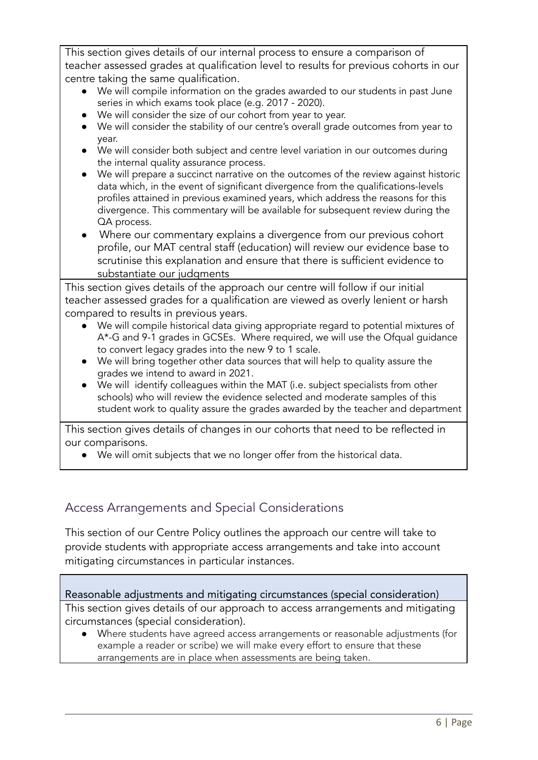This section gives details of our internal process to ensure a comparison of teacher assessed grades at qualification level to results for previous cohorts in our centre taking the same qualification.

- We will compile information on the grades awarded to our students in past June series in which exams took place (e.g. 2017 - 2020).
- We will consider the size of our cohort from year to year.
- We will consider the stability of our centre's overall grade outcomes from year to year.
- We will consider both subject and centre level variation in our outcomes during the internal quality assurance process.
- We will prepare a succinct narrative on the outcomes of the review against historic data which, in the event of significant divergence from the qualifications-levels profiles attained in previous examined years, which address the reasons for this divergence. This commentary will be available for subsequent review during the QA process.
- Where our commentary explains a divergence from our previous cohort profile, our MAT central staff (education) will review our evidence base to scrutinise this explanation and ensure that there is sufficient evidence to substantiate our judgments

This section gives details of the approach our centre will follow if our initial teacher assessed grades for a qualification are viewed as overly lenient or harsh compared to results in previous years.

- We will compile historical data giving appropriate regard to potential mixtures of A\*-G and 9-1 grades in GCSEs. Where required, we will use the Ofqual guidance to convert legacy grades into the new 9 to 1 scale.
- We will bring together other data sources that will help to quality assure the grades we intend to award in 2021.
- We will identify colleagues within the MAT (i.e. subject specialists from other schools) who will review the evidence selected and moderate samples of this student work to quality assure the grades awarded by the teacher and department

This section gives details of changes in our cohorts that need to be reflected in our comparisons.

● We will omit subjects that we no longer offer from the historical data.

# Access Arrangements and Special Considerations

This section of our Centre Policy outlines the approach our centre will take to provide students with appropriate access arrangements and take into account mitigating circumstances in particular instances.

Reasonable adjustments and mitigating circumstances (special consideration) This section gives details of our approach to access arrangements and mitigating circumstances (special consideration).

● Where students have agreed access arrangements or reasonable adjustments (for example a reader or scribe) we will make every effort to ensure that these arrangements are in place when assessments are being taken.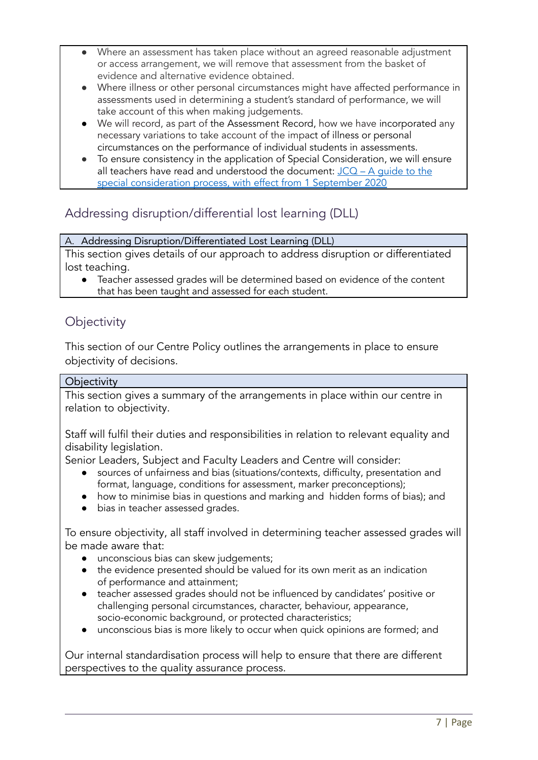- Where an assessment has taken place without an agreed reasonable adjustment or access arrangement, we will remove that assessment from the basket of evidence and alternative evidence obtained.
- Where illness or other personal circumstances might have affected performance in assessments used in determining a student's standard of performance, we will take account of this when making judgements.
- We will record, as part of the Assessment Record, how we have incorporated any necessary variations to take account of the impact of illness or personal circumstances on the performance of individual students in assessments.
- To ensure consistency in the application of Special Consideration, we will ensure all teachers have read and understood the document:  $JCO - A$  quide to the special [consideration](https://www.jcq.org.uk/wp-content/uploads/2020/08/A-guide-to-the-spec-con-process-202021-Website-version.pdf) process, with effect from 1 September 2020

# Addressing disruption/differential lost learning (DLL)

## A. Addressing Disruption/Differentiated Lost Learning (DLL)

This section gives details of our approach to address disruption or differentiated lost teaching.

● Teacher assessed grades will be determined based on evidence of the content that has been taught and assessed for each student.

# **Objectivity**

This section of our Centre Policy outlines the arrangements in place to ensure objectivity of decisions.

### **Objectivity**

This section gives a summary of the arrangements in place within our centre in relation to objectivity.

Staff will fulfil their duties and responsibilities in relation to relevant equality and disability legislation.

Senior Leaders, Subject and Faculty Leaders and Centre will consider:

- sources of unfairness and bias (situations/contexts, difficulty, presentation and format, language, conditions for assessment, marker preconceptions);
- how to minimise bias in questions and marking and hidden forms of bias); and
- bias in teacher assessed grades.

To ensure objectivity, all staff involved in determining teacher assessed grades will be made aware that:

- unconscious bias can skew judgements;
- the evidence presented should be valued for its own merit as an indication of performance and attainment;
- teacher assessed grades should not be influenced by candidates' positive or challenging personal circumstances, character, behaviour, appearance, socio-economic background, or protected characteristics;
- unconscious bias is more likely to occur when quick opinions are formed; and

Our internal standardisation process will help to ensure that there are different perspectives to the quality assurance process.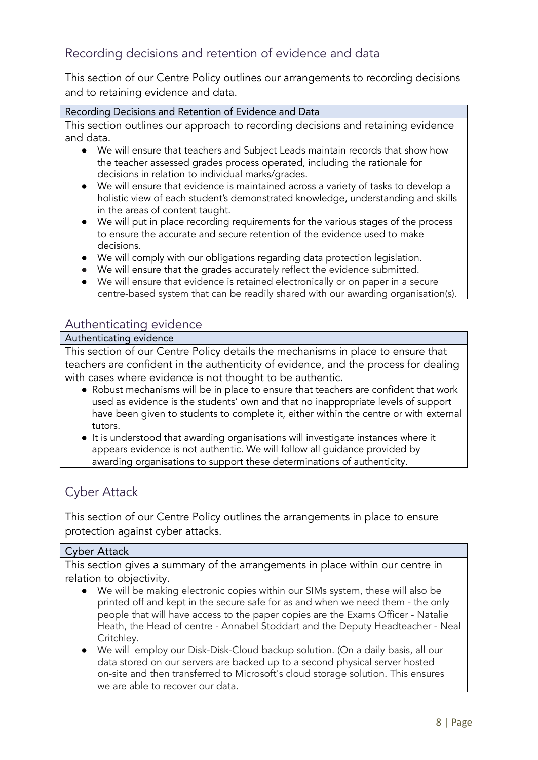# Recording decisions and retention of evidence and data

This section of our Centre Policy outlines our arrangements to recording decisions and to retaining evidence and data.

#### Recording Decisions and Retention of Evidence and Data

This section outlines our approach to recording decisions and retaining evidence and data.

- We will ensure that teachers and Subject Leads maintain records that show how the teacher assessed grades process operated, including the rationale for decisions in relation to individual marks/grades.
- We will ensure that evidence is maintained across a variety of tasks to develop a holistic view of each student's demonstrated knowledge, understanding and skills in the areas of content taught.
- We will put in place recording requirements for the various stages of the process to ensure the accurate and secure retention of the evidence used to make decisions.
- We will comply with our obligations regarding data protection legislation.
- We will ensure that the grades accurately reflect the evidence submitted.
- We will ensure that evidence is retained electronically or on paper in a secure centre-based system that can be readily shared with our awarding organisation(s).

## Authenticating evidence

#### Authenticating evidence

This section of our Centre Policy details the mechanisms in place to ensure that teachers are confident in the authenticity of evidence, and the process for dealing with cases where evidence is not thought to be authentic.

- Robust mechanisms will be in place to ensure that teachers are confident that work used as evidence is the students' own and that no inappropriate levels of support have been given to students to complete it, either within the centre or with external tutors.
- It is understood that awarding organisations will investigate instances where it appears evidence is not authentic. We will follow all guidance provided by awarding organisations to support these determinations of authenticity.

# Cyber Attack

This section of our Centre Policy outlines the arrangements in place to ensure protection against cyber attacks.

#### Cyber Attack

This section gives a summary of the arrangements in place within our centre in relation to objectivity.

- We will be making electronic copies within our SIMs system, these will also be printed off and kept in the secure safe for as and when we need them - the only people that will have access to the paper copies are the Exams Officer - Natalie Heath, the Head of centre - Annabel Stoddart and the Deputy Headteacher - Neal Critchley.
- We will employ our Disk-Disk-Cloud backup solution. (On a daily basis, all our data stored on our servers are backed up to a second physical server hosted on-site and then transferred to Microsoft's cloud storage solution. This ensures we are able to recover our data.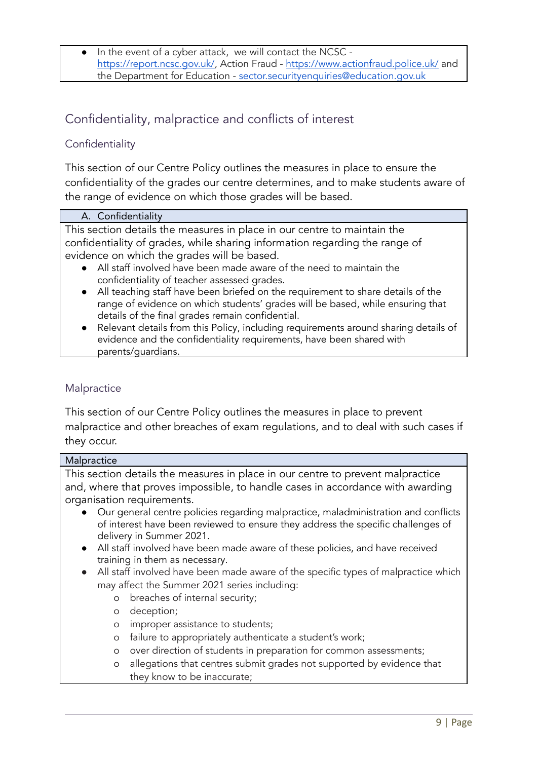In the event of a cyber attack, we will contact the NCSC [https://report.ncsc.gov.uk/,](https://report.ncsc.gov.uk/) Action Fraud - <https://www.actionfraud.police.uk/> and the Department for Education - sector.securityenquiries@education.gov.uk

Confidentiality, malpractice and conflicts of interest

## **Confidentiality**

This section of our Centre Policy outlines the measures in place to ensure the confidentiality of the grades our centre determines, and to make students aware of the range of evidence on which those grades will be based.

#### A. Confidentiality

This section details the measures in place in our centre to maintain the confidentiality of grades, while sharing information regarding the range of evidence on which the grades will be based.

- All staff involved have been made aware of the need to maintain the confidentiality of teacher assessed grades.
- All teaching staff have been briefed on the requirement to share details of the range of evidence on which students' grades will be based, while ensuring that details of the final grades remain confidential.
- Relevant details from this Policy, including requirements around sharing details of evidence and the confidentiality requirements, have been shared with parents/guardians.

## **Malpractice**

This section of our Centre Policy outlines the measures in place to prevent malpractice and other breaches of exam regulations, and to deal with such cases if they occur.

#### **Malpractice**

This section details the measures in place in our centre to prevent malpractice and, where that proves impossible, to handle cases in accordance with awarding organisation requirements.

- Our general centre policies regarding malpractice, maladministration and conflicts of interest have been reviewed to ensure they address the specific challenges of delivery in Summer 2021.
- All staff involved have been made aware of these policies, and have received training in them as necessary.
- All staff involved have been made aware of the specific types of malpractice which may affect the Summer 2021 series including:
	- o breaches of internal security;
	- o deception;
	- o improper assistance to students;
	- o failure to appropriately authenticate a student's work;
	- o over direction of students in preparation for common assessments;
	- o allegations that centres submit grades not supported by evidence that they know to be inaccurate;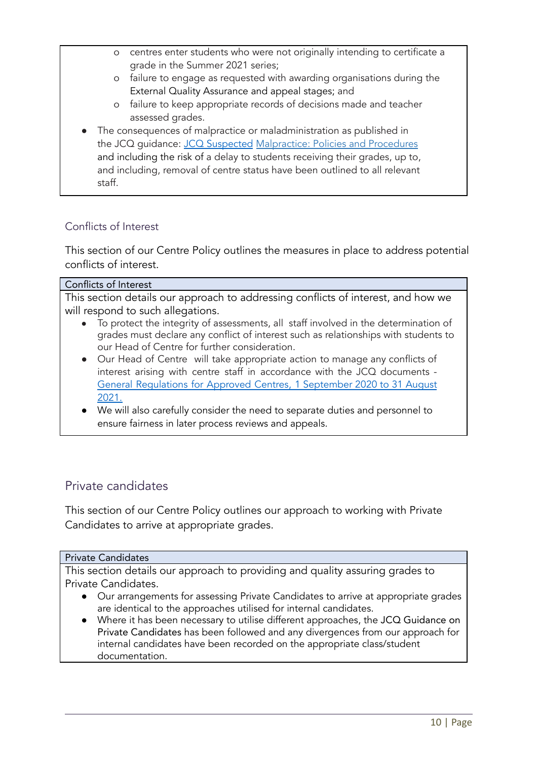- o centres enter students who were not originally intending to certificate a grade in the Summer 2021 series;
- o failure to engage as requested with awarding organisations during the External Quality Assurance and appeal stages; and
- o failure to keep appropriate records of decisions made and teacher assessed grades.
- The consequences of malpractice or maladministration as published in the JCQ guidance: JCQ [Suspected](https://www.jcq.org.uk/exams-office/malpractice/jcq-suspected-malpractice-policies-and-procedures-2019-2020) Malpractice: Policies and Procedures and including the risk of a delay to students receiving their grades, up to, and including, removal of centre status have been outlined to all relevant staff.

## Conflicts of Interest

This section of our Centre Policy outlines the measures in place to address potential conflicts of interest.

#### Conflicts of Interest

This section details our approach to addressing conflicts of interest, and how we will respond to such allegations.

- To protect the integrity of assessments, all staff involved in the determination of grades must declare any conflict of interest such as relationships with students to our Head of Centre for further consideration.
- Our Head of Centre will take appropriate action to manage any conflicts of interest arising with centre staff in accordance with the JCQ documents - General [Regulations](https://www.jcq.org.uk/wp-content/uploads/2020/09/Gen_regs_approved_centres_20-21_FINAL.pdf) for Approved Centres, 1 September 2020 to 31 August [2021.](https://www.jcq.org.uk/wp-content/uploads/2020/09/Gen_regs_approved_centres_20-21_FINAL.pdf)
- We will also carefully consider the need to separate duties and personnel to ensure fairness in later process reviews and appeals.

## Private candidates

This section of our Centre Policy outlines our approach to working with Private Candidates to arrive at appropriate grades.

#### Private Candidates

This section details our approach to providing and quality assuring grades to Private Candidates.

- Our arrangements for assessing Private Candidates to arrive at appropriate grades are identical to the approaches utilised for internal candidates.
- Where it has been necessary to utilise different approaches, the JCQ Guidance on Private Candidates has been followed and any divergences from our approach for internal candidates have been recorded on the appropriate class/student documentation.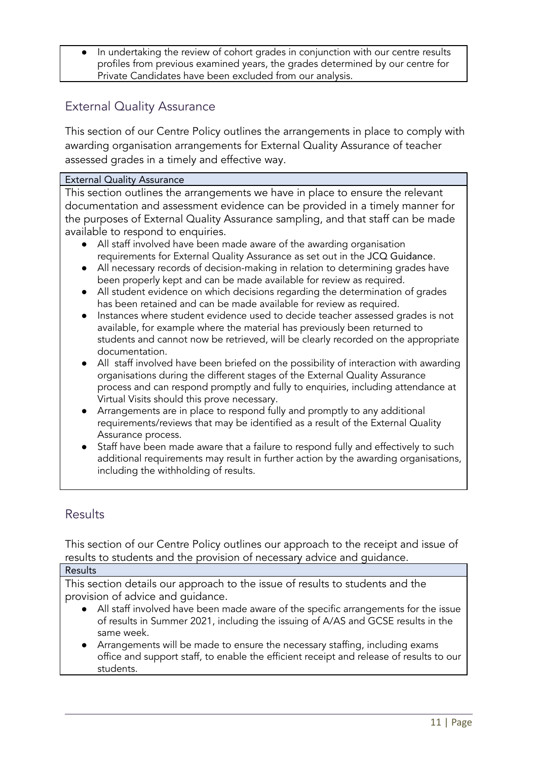In undertaking the review of cohort grades in conjunction with our centre results profiles from previous examined years, the grades determined by our centre for Private Candidates have been excluded from our analysis.

# External Quality Assurance

This section of our Centre Policy outlines the arrangements in place to comply with awarding organisation arrangements for External Quality Assurance of teacher assessed grades in a timely and effective way.

#### External Quality Assurance

This section outlines the arrangements we have in place to ensure the relevant documentation and assessment evidence can be provided in a timely manner for the purposes of External Quality Assurance sampling, and that staff can be made available to respond to enquiries.

- All staff involved have been made aware of the awarding organisation requirements for External Quality Assurance as set out in the JCQ Guidance.
- All necessary records of decision-making in relation to determining grades have been properly kept and can be made available for review as required.
- All student evidence on which decisions regarding the determination of grades has been retained and can be made available for review as required.
- Instances where student evidence used to decide teacher assessed grades is not available, for example where the material has previously been returned to students and cannot now be retrieved, will be clearly recorded on the appropriate documentation.
- All staff involved have been briefed on the possibility of interaction with awarding organisations during the different stages of the External Quality Assurance process and can respond promptly and fully to enquiries, including attendance at Virtual Visits should this prove necessary.
- Arrangements are in place to respond fully and promptly to any additional requirements/reviews that may be identified as a result of the External Quality Assurance process.
- Staff have been made aware that a failure to respond fully and effectively to such additional requirements may result in further action by the awarding organisations, including the withholding of results.

# Results

students.

This section of our Centre Policy outlines our approach to the receipt and issue of results to students and the provision of necessary advice and guidance.

| Results                                                                                                                                                                                |
|----------------------------------------------------------------------------------------------------------------------------------------------------------------------------------------|
| This section details our approach to the issue of results to students and the                                                                                                          |
| provision of advice and guidance.                                                                                                                                                      |
| • All staff involved have been made aware of the specific arrangements for the issue<br>of results in Summer 2021, including the issuing of A/AS and GCSE results in the<br>same week. |
| • Arrangements will be made to ensure the necessary staffing, including exams<br>office and support staff, to enable the efficient receipt and release of results to our               |